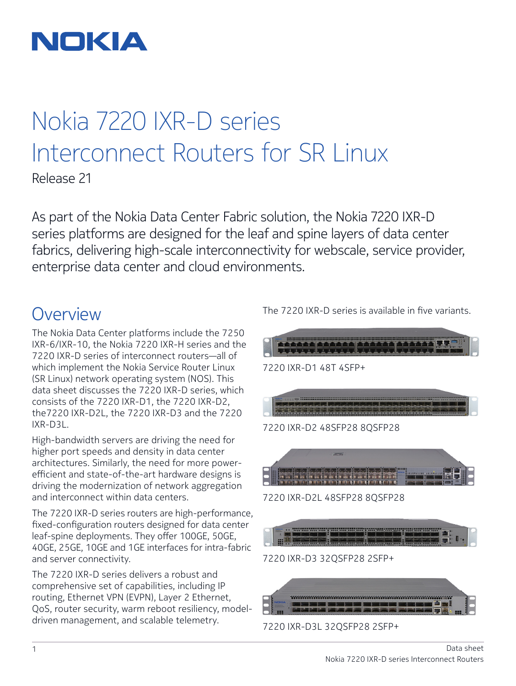

# Nokia 7220 IXR-D series Interconnect Routers for SR Linux

Release 21

As part of the Nokia Data Center Fabric solution, the Nokia 7220 IXR-D series platforms are designed for the leaf and spine layers of data center fabrics, delivering high-scale interconnectivity for webscale, service provider, enterprise data center and cloud environments.

### **Overview**

The Nokia Data Center platforms include the 7250 IXR-6/IXR-10, the Nokia 7220 IXR-H series and the 7220 IXR-D series of interconnect routers—all of which implement the Nokia Service Router Linux (SR Linux) network operating system (NOS). This data sheet discusses the 7220 IXR-D series, which consists of the 7220 IXR-D1, the 7220 IXR-D2, the7220 IXR-D2L, the 7220 IXR-D3 and the 7220 IXR-D3L.

High-bandwidth servers are driving the need for higher port speeds and density in data center architectures. Similarly, the need for more powerefficient and state-of-the-art hardware designs is driving the modernization of network aggregation and interconnect within data centers.

The 7220 IXR-D series routers are high-performance, fixed-configuration routers designed for data center leaf-spine deployments. They offer 100GE, 50GE, 40GE, 25GE, 10GE and 1GE interfaces for intra-fabric and server connectivity.

The 7220 IXR-D series delivers a robust and comprehensive set of capabilities, including IP routing, Ethernet VPN (EVPN), Layer 2 Ethernet, QoS, router security, warm reboot resiliency, modeldriven management, and scalable telemetry.

The 7220 IXR-D series is available in five variants.





7220 IXR-D3L 32QSFP28 2SFP+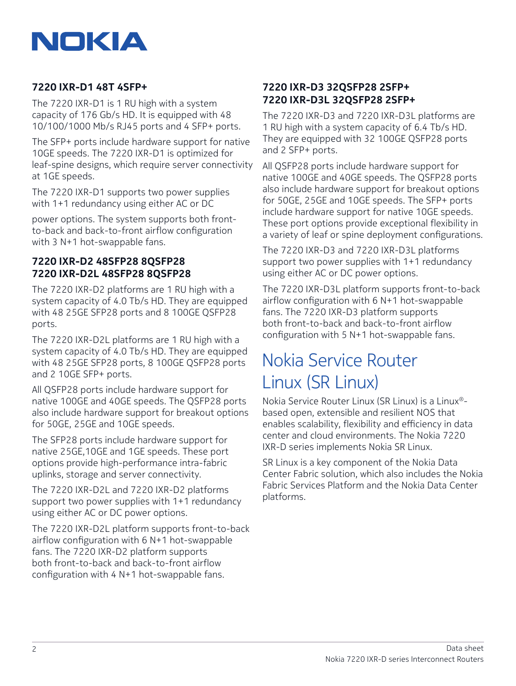

#### **7220 IXR-D1 48T 4SFP+**

The 7220 IXR-D1 is 1 RU high with a system capacity of 176 Gb/s HD. It is equipped with 48 10/100/1000 Mb/s RJ45 ports and 4 SFP+ ports.

The SFP+ ports include hardware support for native 10GE speeds. The 7220 IXR-D1 is optimized for leaf-spine designs, which require server connectivity at 1GE speeds.

The 7220 IXR-D1 supports two power supplies with 1+1 redundancy using either AC or DC

power options. The system supports both frontto-back and back-to-front airflow configuration with 3 N+1 hot-swappable fans.

#### **7220 IXR-D2 48SFP28 8QSFP28 7220 IXR-D2L 48SFP28 8QSFP28**

The 7220 IXR-D2 platforms are 1 RU high with a system capacity of 4.0 Tb/s HD. They are equipped with 48 25GE SFP28 ports and 8 100GE QSFP28 ports.

The 7220 IXR-D2L platforms are 1 RU high with a system capacity of 4.0 Tb/s HD. They are equipped with 48 25GE SFP28 ports, 8 100GE QSFP28 ports and 2 10GE SFP+ ports.

All QSFP28 ports include hardware support for native 100GE and 40GE speeds. The QSFP28 ports also include hardware support for breakout options for 50GE, 25GE and 10GE speeds.

The SFP28 ports include hardware support for native 25GE,10GE and 1GE speeds. These port options provide high-performance intra-fabric uplinks, storage and server connectivity.

The 7220 IXR-D2L and 7220 IXR-D2 platforms support two power supplies with 1+1 redundancy using either AC or DC power options.

The 7220 IXR-D2L platform supports front-to-back airflow configuration with 6 N+1 hot-swappable fans. The 7220 IXR-D2 platform supports both front-to-back and back-to-front airflow configuration with 4 N+1 hot-swappable fans.

#### **7220 IXR-D3 32QSFP28 2SFP+ 7220 IXR-D3L 32QSFP28 2SFP+**

The 7220 IXR-D3 and 7220 IXR-D3L platforms are 1 RU high with a system capacity of 6.4 Tb/s HD. They are equipped with 32 100GE QSFP28 ports and 2 SFP+ ports.

All QSFP28 ports include hardware support for native 100GE and 40GE speeds. The QSFP28 ports also include hardware support for breakout options for 50GE, 25GE and 10GE speeds. The SFP+ ports include hardware support for native 10GE speeds. These port options provide exceptional flexibility in a variety of leaf or spine deployment configurations.

The 7220 IXR-D3 and 7220 IXR-D3L platforms support two power supplies with 1+1 redundancy using either AC or DC power options.

The 7220 IXR-D3L platform supports front-to-back airflow configuration with 6 N+1 hot-swappable fans. The 7220 IXR-D3 platform supports both front-to-back and back-to-front airflow configuration with 5 N+1 hot-swappable fans.

### Nokia Service Router Linux (SR Linux)

Nokia Service Router Linux (SR Linux) is a Linux® based open, extensible and resilient NOS that enables scalability, flexibility and efficiency in data center and cloud environments. The Nokia 7220 IXR-D series implements Nokia SR Linux.

SR Linux is a key component of the Nokia Data Center Fabric solution, which also includes the Nokia Fabric Services Platform and the Nokia Data Center platforms.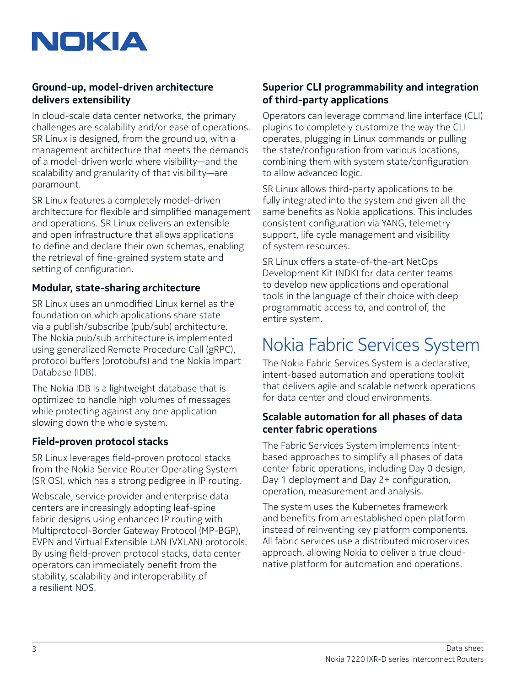

#### **Ground-up, model-driven architecture delivers extensibility**

In cloud-scale data center networks, the primary challenges are scalability and/or ease of operations. SR Linux is designed, from the ground up, with a management architecture that meets the demands of a model-driven world where visibility—and the scalability and granularity of that visibility—are paramount.

SR Linux features a completely model-driven architecture for flexible and simplified management and operations. SR Linux delivers an extensible and open infrastructure that allows applications to define and declare their own schemas, enabling the retrieval of fine-grained system state and setting of configuration.

#### **Modular, state-sharing architecture**

SR Linux uses an unmodified Linux kernel as the foundation on which applications share state via a publish/subscribe (pub/sub) architecture. The Nokia pub/sub architecture is implemented using generalized Remote Procedure Call (gRPC), protocol buffers (protobufs) and the Nokia Impart Database (IDB).

The Nokia IDB is a lightweight database that is optimized to handle high volumes of messages while protecting against any one application slowing down the whole system.

#### **Field-proven protocol stacks**

SR Linux leverages field-proven protocol stacks from the Nokia Service Router Operating System (SR OS), which has a strong pedigree in IP routing.

Webscale, service provider and enterprise data centers are increasingly adopting leaf-spine fabric designs using enhanced IP routing with Multiprotocol-Border Gateway Protocol (MP-BGP), EVPN and Virtual Extensible LAN (VXLAN) protocols. By using field-proven protocol stacks, data center operators can immediately benefit from the stability, scalability and interoperability of a resilient NOS.

#### **Superior CLI programmability and integration of third-party applications**

Operators can leverage command line interface (CLI) plugins to completely customize the way the CLI operates, plugging in Linux commands or pulling the state/configuration from various locations, combining them with system state/configuration to allow advanced logic.

SR Linux allows third-party applications to be fully integrated into the system and given all the same benefits as Nokia applications. This includes consistent configuration via YANG, telemetry support, life cycle management and visibility of system resources.

SR Linux offers a state-of-the-art NetOps Development Kit (NDK) for data center teams to develop new applications and operational tools in the language of their choice with deep programmatic access to, and control of, the entire system.

## Nokia Fabric Services System

The Nokia Fabric Services System is a declarative, intent-based automation and operations toolkit that delivers agile and scalable network operations for data center and cloud environments.

#### **Scalable automation for all phases of data center fabric operations**

The Fabric Services System implements intentbased approaches to simplify all phases of data center fabric operations, including Day 0 design, Day 1 deployment and Day 2+ configuration, operation, measurement and analysis.

The system uses the Kubernetes framework and benefits from an established open platform instead of reinventing key platform components. All fabric services use a distributed microservices approach, allowing Nokia to deliver a true cloudnative platform for automation and operations.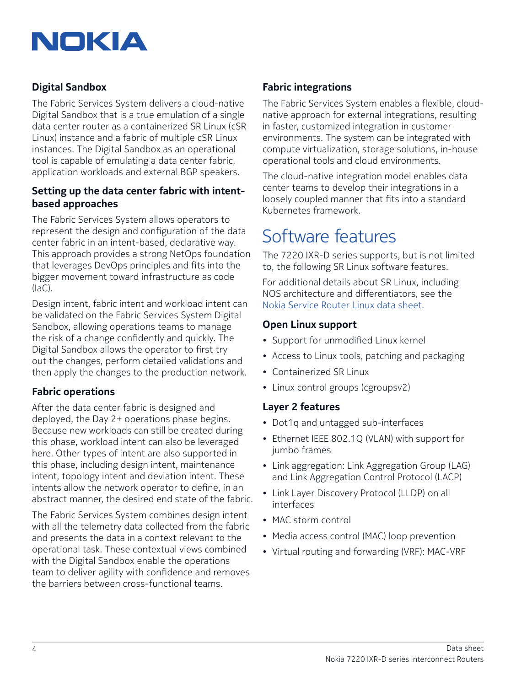

#### **Digital Sandbox**

The Fabric Services System delivers a cloud-native Digital Sandbox that is a true emulation of a single data center router as a containerized SR Linux (cSR Linux) instance and a fabric of multiple cSR Linux instances. The Digital Sandbox as an operational tool is capable of emulating a data center fabric, application workloads and external BGP speakers.

#### **Setting up the data center fabric with intentbased approaches**

The Fabric Services System allows operators to represent the design and configuration of the data center fabric in an intent-based, declarative way. This approach provides a strong NetOps foundation that leverages DevOps principles and fits into the bigger movement toward infrastructure as code (IaC).

Design intent, fabric intent and workload intent can be validated on the Fabric Services System Digital Sandbox, allowing operations teams to manage the risk of a change confidently and quickly. The Digital Sandbox allows the operator to first try out the changes, perform detailed validations and then apply the changes to the production network.

#### **Fabric operations**

After the data center fabric is designed and deployed, the Day 2+ operations phase begins. Because new workloads can still be created during this phase, workload intent can also be leveraged here. Other types of intent are also supported in this phase, including design intent, maintenance intent, topology intent and deviation intent. These intents allow the network operator to define, in an abstract manner, the desired end state of the fabric.

The Fabric Services System combines design intent with all the telemetry data collected from the fabric and presents the data in a context relevant to the operational task. These contextual views combined with the Digital Sandbox enable the operations team to deliver agility with confidence and removes the barriers between cross-functional teams.

#### **Fabric integrations**

The Fabric Services System enables a flexible, cloudnative approach for external integrations, resulting in faster, customized integration in customer environments. The system can be integrated with compute virtualization, storage solutions, in-house operational tools and cloud environments.

The cloud-native integration model enables data center teams to develop their integrations in a loosely coupled manner that fits into a standard Kubernetes framework.

## Software features

The 7220 IXR-D series supports, but is not limited to, the following SR Linux software features.

For additional details about SR Linux, including NOS architecture and differentiators, see the [Nokia Service Router Linux data sheet.](https://onestore.nokia.com/asset/i/207598)

#### **Open Linux support**

- Support for unmodified Linux kernel
- Access to Linux tools, patching and packaging
- Containerized SR Linux
- Linux control groups (cgroupsv2)

#### **Layer 2 features**

- Dot1q and untagged sub-interfaces
- Ethernet IEEE 802.1Q (VLAN) with support for jumbo frames
- Link aggregation: Link Aggregation Group (LAG) and Link Aggregation Control Protocol (LACP)
- Link Layer Discovery Protocol (LLDP) on all interfaces
- MAC storm control
- Media access control (MAC) loop prevention
- Virtual routing and forwarding (VRF): MAC-VRF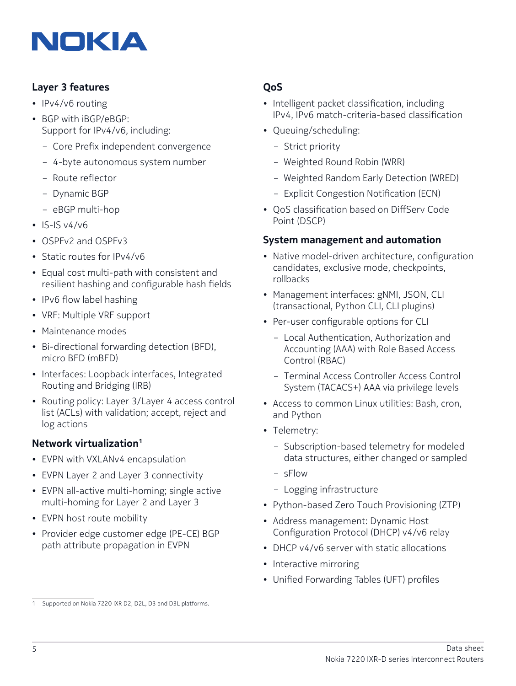

#### **Layer 3 features**

- IPv4/v6 routing
- BGP with iBGP/eBGP: Support for IPv4/v6, including:
	- Core Prefix independent convergence
	- 4-byte autonomous system number
	- Route reflector
	- Dynamic BGP
	- eBGP multi-hop
- $•$  IS-IS  $v4/v6$
- OSPFv2 and OSPFv3
- Static routes for IPv4/v6
- Equal cost multi-path with consistent and resilient hashing and configurable hash fields
- IPv6 flow label hashing
- VRF: Multiple VRF support
- Maintenance modes
- Bi-directional forwarding detection (BFD), micro BFD (mBFD)
- Interfaces: Loopback interfaces, Integrated Routing and Bridging (IRB)
- Routing policy: Layer 3/Layer 4 access control list (ACLs) with validation; accept, reject and log actions

#### **Network virtualization1**

- EVPN with VXLANv4 encapsulation
- EVPN Layer 2 and Layer 3 connectivity
- EVPN all-active multi-homing; single active multi-homing for Layer 2 and Layer 3
- EVPN host route mobility
- Provider edge customer edge (PE-CE) BGP path attribute propagation in EVPN

#### **QoS**

- Intelligent packet classification, including IPv4, IPv6 match-criteria-based classification
- Queuing/scheduling:
	- Strict priority
	- Weighted Round Robin (WRR)
	- Weighted Random Early Detection (WRED)
	- Explicit Congestion Notification (ECN)
- QoS classification based on DiffServ Code Point (DSCP)

#### **System management and automation**

- Native model-driven architecture, configuration candidates, exclusive mode, checkpoints, rollbacks
- Management interfaces: gNMI, JSON, CLI (transactional, Python CLI, CLI plugins)
- Per-user configurable options for CLI
	- Local Authentication, Authorization and Accounting (AAA) with Role Based Access Control (RBAC)
	- Terminal Access Controller Access Control System (TACACS+) AAA via privilege levels
- Access to common Linux utilities: Bash, cron, and Python
- Telemetry:
	- Subscription-based telemetry for modeled data structures, either changed or sampled
	- sFlow
	- Logging infrastructure
- Python-based Zero Touch Provisioning (ZTP)
- Address management: Dynamic Host Configuration Protocol (DHCP) v4/v6 relay
- DHCP v4/v6 server with static allocations
- Interactive mirroring
- Unified Forwarding Tables (UFT) profiles

<sup>1</sup> Supported on Nokia 7220 IXR D2, D2L, D3 and D3L platforms.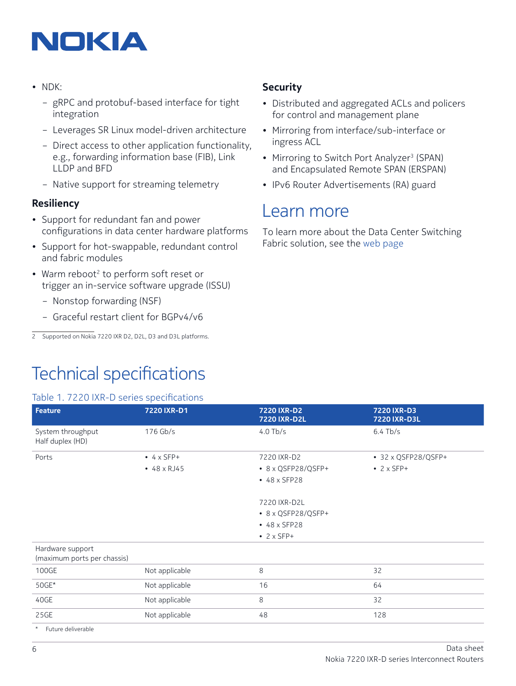## NOKIA

- NDK:
	- gRPC and protobuf-based interface for tight integration
	- Leverages SR Linux model-driven architecture
	- Direct access to other application functionality, e.g., forwarding information base (FIB), Link LLDP and BFD
	- Native support for streaming telemetry

#### **Resiliency**

- Support for redundant fan and power configurations in data center hardware platforms
- Support for hot-swappable, redundant control and fabric modules
- Warm reboot<sup>2</sup> to perform soft reset or trigger an in-service software upgrade (ISSU)
	- Nonstop forwarding (NSF)
	- Graceful restart client for BGPv4/v6

Technical specifications

#### **Security**

- Distributed and aggregated ACLs and policers for control and management plane
- Mirroring from interface/sub-interface or ingress ACL
- Mirroring to Switch Port Analyzer<sup>3</sup> (SPAN) and Encapsulated Remote SPAN (ERSPAN)
- IPv6 Router Advertisements (RA) guard

### Learn more

To learn more about the Data Center Switching Fabric solution, see the [web page](https://www.nokia.com/networks/solutions/data-center-switching-fabric/)

| <b>Feature</b>                                  | 7220 IXR-D1        | 7220 IXR-D2<br>7220 IXR-D2L | 7220 IXR-D3<br>7220 IXR-D3L |
|-------------------------------------------------|--------------------|-----------------------------|-----------------------------|
| System throughput<br>Half duplex (HD)           | $176$ Gb/s         | $4.0$ Tb/s                  | $6.4$ Tb/s                  |
| Ports                                           | $\bullet$ 4 x SFP+ | 7220 IXR-D2                 | • 32 x QSFP28/QSFP+         |
|                                                 | $-48 \times RJ45$  | • 8 x QSFP28/QSFP+          | $\bullet$ 2 x SFP+          |
|                                                 |                    | • 48 x SFP28                |                             |
|                                                 |                    | 7220 IXR-D2L                |                             |
|                                                 |                    | • 8 x QSFP28/QSFP+          |                             |
|                                                 |                    | • 48 x SFP28                |                             |
|                                                 |                    | $\cdot$ 2 x SFP+            |                             |
| Hardware support<br>(maximum ports per chassis) |                    |                             |                             |
| 100GE                                           | Not applicable     | 8                           | 32                          |
| 50GE*                                           | Not applicable     | 16                          | 64                          |
| 40GE                                            | Not applicable     | 8                           | 32                          |
| 25GE                                            | Not applicable     | 48                          | 128                         |

<sup>2</sup> Supported on Nokia 7220 IXR D2, D2L, D3 and D3L platforms.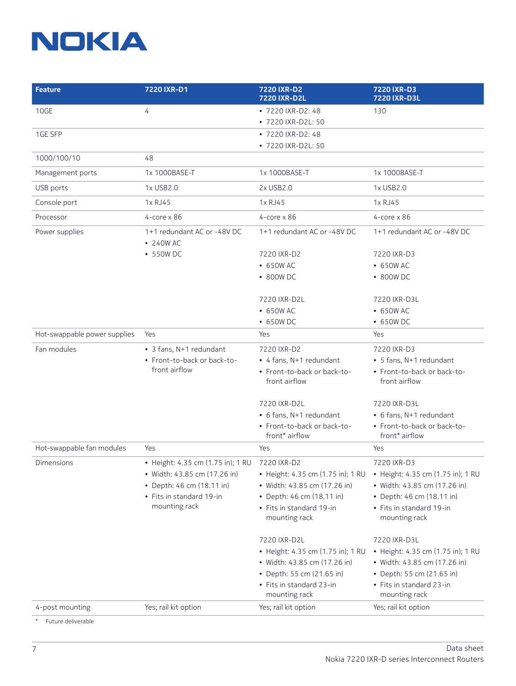## **NOKIA**

| <b>Feature</b>               | 7220 IXR-D1                                                                                                                                 | 7220 IXR-D2<br><b>7220 IXR-D2L</b>                                                                                                                          | 7220 IXR-D3<br><b>7220 IXR-D3L</b>                                                                                                                          |
|------------------------------|---------------------------------------------------------------------------------------------------------------------------------------------|-------------------------------------------------------------------------------------------------------------------------------------------------------------|-------------------------------------------------------------------------------------------------------------------------------------------------------------|
| 10GE                         | 4                                                                                                                                           | • 7220 IXR-D2: 48                                                                                                                                           | 130                                                                                                                                                         |
|                              |                                                                                                                                             | • 7220 IXR-D2L: 50                                                                                                                                          |                                                                                                                                                             |
| 1GE SFP                      |                                                                                                                                             | • 7220 IXR-D2: 48                                                                                                                                           |                                                                                                                                                             |
|                              |                                                                                                                                             | • 7220 IXR-D2L: 50                                                                                                                                          |                                                                                                                                                             |
| 1000/100/10                  | 48                                                                                                                                          |                                                                                                                                                             |                                                                                                                                                             |
| Management ports             | 1x 1000BASE-T                                                                                                                               | 1x 1000BASE-T                                                                                                                                               | 1x 1000BASE-T                                                                                                                                               |
| USB ports                    | 1x USB2.0                                                                                                                                   | 2x USB2.0                                                                                                                                                   | 1x USB2.0                                                                                                                                                   |
| Console port                 | 1x RJ45                                                                                                                                     | 1x RJ45                                                                                                                                                     | 1x RJ45                                                                                                                                                     |
| Processor                    | $4$ -core x 86                                                                                                                              | $4$ -core $\times 86$                                                                                                                                       | $4$ -core $\times 86$                                                                                                                                       |
| Power supplies               | 1+1 redundant AC or -48V DC<br>• 240W AC                                                                                                    | 1+1 redundant AC or -48V DC                                                                                                                                 | 1+1 redundant AC or -48V DC                                                                                                                                 |
|                              | • 550W DC                                                                                                                                   | 7220 IXR-D2                                                                                                                                                 | 7220 IXR-D3                                                                                                                                                 |
|                              |                                                                                                                                             | • 650W AC                                                                                                                                                   | • 650W AC                                                                                                                                                   |
|                              |                                                                                                                                             | • 800W DC                                                                                                                                                   | • 800W DC                                                                                                                                                   |
|                              |                                                                                                                                             | 7220 IXR-D2L                                                                                                                                                | 7220 IXR-D3L                                                                                                                                                |
|                              |                                                                                                                                             | • 650W AC                                                                                                                                                   | • 650W AC                                                                                                                                                   |
|                              |                                                                                                                                             | • 650W DC                                                                                                                                                   | • 650W DC                                                                                                                                                   |
| Hot-swappable power supplies | Yes                                                                                                                                         | Yes                                                                                                                                                         | Yes                                                                                                                                                         |
| Fan modules                  | • 3 fans, N+1 redundant                                                                                                                     | 7220 IXR-D2                                                                                                                                                 | 7220 IXR-D3                                                                                                                                                 |
|                              | • Front-to-back or back-to-                                                                                                                 | • 4 fans, N+1 redundant                                                                                                                                     | • 5 fans, N+1 redundant                                                                                                                                     |
|                              | front airflow                                                                                                                               | • Front-to-back or back-to-<br>front airflow                                                                                                                | • Front-to-back or back-to-<br>front airflow                                                                                                                |
|                              |                                                                                                                                             | 7220 IXR-D2L                                                                                                                                                | 7220 IXR-D3L                                                                                                                                                |
|                              |                                                                                                                                             | • 6 fans, N+1 redundant                                                                                                                                     | • 6 fans, N+1 redundant                                                                                                                                     |
|                              |                                                                                                                                             | • Front-to-back or back-to-<br>front* airflow                                                                                                               | • Front-to-back or back-to-<br>front* airflow                                                                                                               |
| Hot-swappable fan modules    | Yes                                                                                                                                         | Yes                                                                                                                                                         | Yes                                                                                                                                                         |
| Dimensions                   | • Height: 4.35 cm (1.75 in); 1 RU<br>• Width: 43.85 cm (17.26 in)<br>• Depth: 46 cm (18.11 in)<br>• Fits in standard 19-in<br>mounting rack | 7220 IXR-D2<br>• Height: 4.35 cm (1.75 in); 1 RU<br>• Width: 43.85 cm (17.26 in)<br>• Depth: 46 cm (18.11 in)<br>• Fits in standard 19-in<br>mounting rack  | 7220 IXR-D3<br>• Height: 4.35 cm (1.75 in); 1 RU<br>• Width: 43.85 cm (17.26 in)<br>• Depth: 46 cm (18.11 in)<br>• Fits in standard 19-in<br>mounting rack  |
|                              |                                                                                                                                             | 7220 IXR-D2L<br>• Height: 4.35 cm (1.75 in); 1 RU<br>• Width: 43.85 cm (17.26 in)<br>• Depth: 55 cm (21.65 in)<br>• Fits in standard 23-in<br>mounting rack | 7220 IXR-D3L<br>• Height: 4.35 cm (1.75 in); 1 RU<br>• Width: 43.85 cm (17.26 in)<br>• Depth: 55 cm (21.65 in)<br>• Fits in standard 23-in<br>mounting rack |
| 4-post mounting              | Yes; rail kit option                                                                                                                        | Yes; rail kit option                                                                                                                                        | Yes; rail kit option                                                                                                                                        |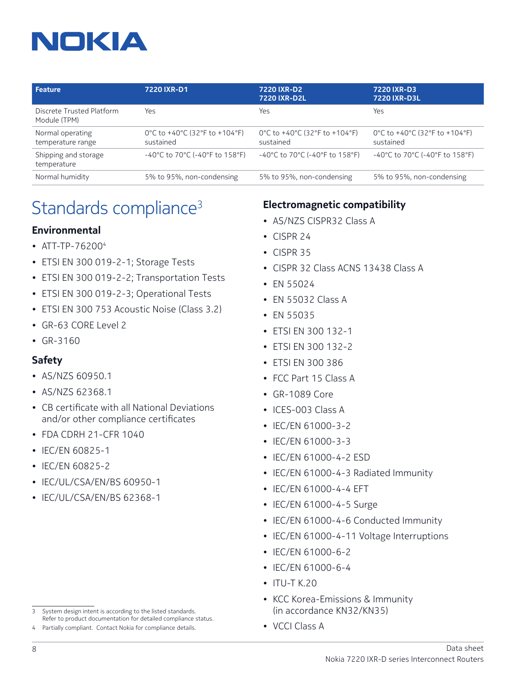# NOKIA

| Feature                                   | 7220 IXR-D1                                                               | 7220 IXR-D2<br><b>7220 IXR-D2L</b>                                        | 7220 IXR-D3<br>7220 IXR-D3L                                               |
|-------------------------------------------|---------------------------------------------------------------------------|---------------------------------------------------------------------------|---------------------------------------------------------------------------|
| Discrete Trusted Platform<br>Module (TPM) | Yes                                                                       | Yes                                                                       | Yes                                                                       |
| Normal operating<br>temperature range     | 0°C to +40°C (32°F to +104°F)<br>sustained                                | 0°C to +40°C (32°F to +104°F)<br>sustained                                | 0°C to +40°C (32°F to +104°F)<br>sustained                                |
| Shipping and storage<br>temperature       | $-40^{\circ}$ C to 70 $^{\circ}$ C (-40 $^{\circ}$ F to 158 $^{\circ}$ F) | $-40^{\circ}$ C to 70 $^{\circ}$ C (-40 $^{\circ}$ F to 158 $^{\circ}$ F) | $-40^{\circ}$ C to 70 $^{\circ}$ C (-40 $^{\circ}$ F to 158 $^{\circ}$ F) |
| Normal humidity                           | 5% to 95%, non-condensing                                                 | 5% to 95%, non-condensing                                                 | 5% to 95%, non-condensing                                                 |

## Standards compliance<sup>3</sup>

#### **Environmental**

- ATT-TP-762004
- ETSI EN 300 019-2-1; Storage Tests
- ETSI EN 300 019-2-2; Transportation Tests
- ETSI EN 300 019-2-3; Operational Tests
- ETSI EN 300 753 Acoustic Noise (Class 3.2)
- GR-63 CORE Level 2
- GR-3160

#### **Safety**

- AS/NZS 60950.1
- AS/NZS 62368.1
- CB certificate with all National Deviations and/or other compliance certificates
- FDA CDRH 21-CFR 1040
- IEC/EN 60825-1
- IEC/EN 60825-2
- IEC/UL/CSA/EN/BS 60950-1
- IEC/UL/CSA/EN/BS 62368-1

- 3 System design intent is according to the listed standards. Refer to product documentation for detailed compliance status.
- 4 Partially compliant. Contact Nokia for compliance details.

### **Electromagnetic compatibility**

- AS/NZS CISPR32 Class A
- CISPR 24
- CISPR 35
- CISPR 32 Class ACNS 13438 Class A
- EN 55024
- EN 55032 Class A
- EN 55035
- ETSI EN 300 132-1
- ETSI EN 300 132-2
- ETSI EN 300 386
- FCC Part 15 Class A
- GR-1089 Core
- ICES-003 Class A
- IEC/EN 61000-3-2
- IEC/EN 61000-3-3
- IEC/EN 61000-4-2 ESD
- IEC/EN 61000-4-3 Radiated Immunity
- IEC/EN 61000-4-4 EFT
- IEC/EN 61000-4-5 Surge
- IEC/EN 61000-4-6 Conducted Immunity
- IEC/EN 61000-4-11 Voltage Interruptions
- IEC/EN 61000-6-2
- IEC/EN 61000-6-4
- $\cdot$  ITU-T K.20
- KCC Korea-Emissions & Immunity (in accordance KN32/KN35)
- VCCI Class A